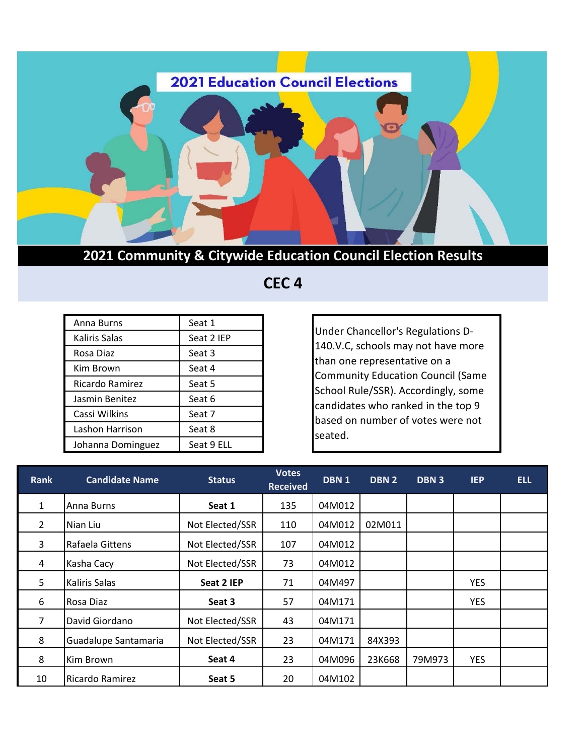

## **2021 Community & Citywide Education Council Election Results**

 **CEC 4** 

| Anna Burns        | Seat 1     |
|-------------------|------------|
| Kaliris Salas     | Seat 2 IEP |
| Rosa Diaz         | Seat 3     |
| Kim Brown         | Seat 4     |
| Ricardo Ramirez   | Seat 5     |
| Jasmin Benitez    | Seat 6     |
| Cassi Wilkins     | Seat 7     |
| Lashon Harrison   | Seat 8     |
| Johanna Dominguez | Seat 9 ELL |

Under Chancellor's Regulations D-140.V.C, schools may not have more than one representative on a Community Education Council (Same School Rule/SSR). Accordingly, some candidates who ranked in the top 9 based on number of votes were not seated.

| <b>Rank</b>    | <b>Candidate Name</b> | <b>Status</b>   | <b>Votes</b><br><b>Received</b> | DBN <sub>1</sub> | DBN <sub>2</sub> | DBN <sub>3</sub> | <b>IEP</b> | <b>ELL</b> |
|----------------|-----------------------|-----------------|---------------------------------|------------------|------------------|------------------|------------|------------|
| $\mathbf{1}$   | Anna Burns            | Seat 1          | 135                             | 04M012           |                  |                  |            |            |
| $\overline{2}$ | Nian Liu              | Not Elected/SSR | 110                             | 04M012           | 02M011           |                  |            |            |
| 3              | Rafaela Gittens       | Not Elected/SSR | 107                             | 04M012           |                  |                  |            |            |
| 4              | Kasha Cacy            | Not Elected/SSR | 73                              | 04M012           |                  |                  |            |            |
| 5              | <b>Kaliris Salas</b>  | Seat 2 IEP      | 71                              | 04M497           |                  |                  | <b>YES</b> |            |
| 6              | Rosa Diaz             | Seat 3          | 57                              | 04M171           |                  |                  | YES        |            |
| 7              | David Giordano        | Not Elected/SSR | 43                              | 04M171           |                  |                  |            |            |
| 8              | Guadalupe Santamaria  | Not Elected/SSR | 23                              | 04M171           | 84X393           |                  |            |            |
| 8              | Kim Brown             | Seat 4          | 23                              | 04M096           | 23K668           | 79M973           | <b>YES</b> |            |
| 10             | Ricardo Ramirez       | Seat 5          | 20                              | 04M102           |                  |                  |            |            |